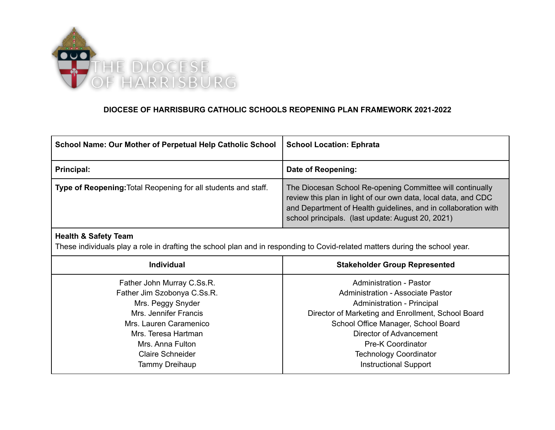

## **DIOCESE OF HARRISBURG CATHOLIC SCHOOLS REOPENING PLAN FRAMEWORK 2021-2022**

| School Name: Our Mother of Perpetual Help Catholic School      | <b>School Location: Ephrata</b>                                                                                                                                                                                                                    |
|----------------------------------------------------------------|----------------------------------------------------------------------------------------------------------------------------------------------------------------------------------------------------------------------------------------------------|
| Principal:                                                     | Date of Reopening:                                                                                                                                                                                                                                 |
| Type of Reopening: Total Reopening for all students and staff. | The Diocesan School Re-opening Committee will continually<br>review this plan in light of our own data, local data, and CDC<br>and Department of Health guidelines, and in collaboration with<br>school principals. (last update: August 20, 2021) |

## **Health & Safety Team**

These individuals play a role in drafting the school plan and in responding to Covid-related matters during the school year.

| <b>Individual</b>           | <b>Stakeholder Group Represented</b>               |
|-----------------------------|----------------------------------------------------|
| Father John Murray C.Ss.R.  | Administration - Pastor                            |
| Father Jim Szobonya C.Ss.R. | Administration - Associate Pastor                  |
| Mrs. Peggy Snyder           | Administration - Principal                         |
| Mrs. Jennifer Francis       | Director of Marketing and Enrollment, School Board |
| Mrs. Lauren Caramenico      | School Office Manager, School Board                |
| Mrs. Teresa Hartman         | Director of Advancement                            |
| Mrs. Anna Fulton            | <b>Pre-K Coordinator</b>                           |
| Claire Schneider            | <b>Technology Coordinator</b>                      |
| Tammy Dreihaup              | <b>Instructional Support</b>                       |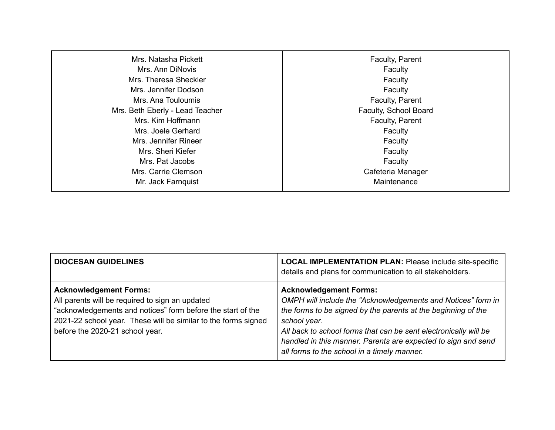| Mrs. Natasha Pickett            | Faculty, Parent       |
|---------------------------------|-----------------------|
| Mrs. Ann DiNovis                | Faculty               |
| Mrs. Theresa Sheckler           | Faculty               |
| Mrs. Jennifer Dodson            | Faculty               |
| Mrs. Ana Touloumis              | Faculty, Parent       |
| Mrs. Beth Eberly - Lead Teacher | Faculty, School Board |
| Mrs. Kim Hoffmann               | Faculty, Parent       |
| Mrs. Joele Gerhard              | Faculty               |
| Mrs. Jennifer Rineer            | Faculty               |
| Mrs. Sheri Kiefer               | Faculty               |
| Mrs. Pat Jacobs                 | Faculty               |
| Mrs. Carrie Clemson             | Cafeteria Manager     |
| Mr. Jack Farnquist              | Maintenance           |

| <b>DIOCESAN GUIDELINES</b>                                                                                                                                                                                                                           | <b>LOCAL IMPLEMENTATION PLAN: Please include site-specific</b><br>details and plans for communication to all stakeholders.                                                                                                                                                                                                                                         |
|------------------------------------------------------------------------------------------------------------------------------------------------------------------------------------------------------------------------------------------------------|--------------------------------------------------------------------------------------------------------------------------------------------------------------------------------------------------------------------------------------------------------------------------------------------------------------------------------------------------------------------|
| <b>Acknowledgement Forms:</b><br>All parents will be required to sign an updated<br>"acknowledgements and notices" form before the start of the<br>2021-22 school year. These will be similar to the forms signed<br>before the 2020-21 school year. | <b>Acknowledgement Forms:</b><br>OMPH will include the "Acknowledgements and Notices" form in<br>the forms to be signed by the parents at the beginning of the<br>school year.<br>All back to school forms that can be sent electronically will be<br>handled in this manner. Parents are expected to sign and send<br>all forms to the school in a timely manner. |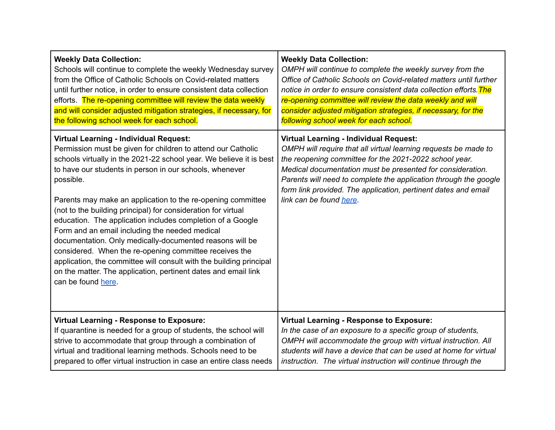| <b>Weekly Data Collection:</b>                                                                                                                                                                                                                                                                                                                                                                                                                                                                                                                                                                                                                                                                                                                                                                    | <b>Weekly Data Collection:</b>                                                                                                                                                                                                                                                                                                                                                                            |
|---------------------------------------------------------------------------------------------------------------------------------------------------------------------------------------------------------------------------------------------------------------------------------------------------------------------------------------------------------------------------------------------------------------------------------------------------------------------------------------------------------------------------------------------------------------------------------------------------------------------------------------------------------------------------------------------------------------------------------------------------------------------------------------------------|-----------------------------------------------------------------------------------------------------------------------------------------------------------------------------------------------------------------------------------------------------------------------------------------------------------------------------------------------------------------------------------------------------------|
| Schools will continue to complete the weekly Wednesday survey                                                                                                                                                                                                                                                                                                                                                                                                                                                                                                                                                                                                                                                                                                                                     | OMPH will continue to complete the weekly survey from the                                                                                                                                                                                                                                                                                                                                                 |
| from the Office of Catholic Schools on Covid-related matters                                                                                                                                                                                                                                                                                                                                                                                                                                                                                                                                                                                                                                                                                                                                      | Office of Catholic Schools on Covid-related matters until further                                                                                                                                                                                                                                                                                                                                         |
| until further notice, in order to ensure consistent data collection                                                                                                                                                                                                                                                                                                                                                                                                                                                                                                                                                                                                                                                                                                                               | notice in order to ensure consistent data collection efforts. The                                                                                                                                                                                                                                                                                                                                         |
| efforts. The re-opening committee will review the data weekly                                                                                                                                                                                                                                                                                                                                                                                                                                                                                                                                                                                                                                                                                                                                     | re-opening committee will review the data weekly and will                                                                                                                                                                                                                                                                                                                                                 |
| and will consider adjusted mitigation strategies, if necessary, for                                                                                                                                                                                                                                                                                                                                                                                                                                                                                                                                                                                                                                                                                                                               | consider adjusted mitigation strategies, if necessary, for the                                                                                                                                                                                                                                                                                                                                            |
| the following school week for each school.                                                                                                                                                                                                                                                                                                                                                                                                                                                                                                                                                                                                                                                                                                                                                        | following school week for each school.                                                                                                                                                                                                                                                                                                                                                                    |
| <b>Virtual Learning - Individual Request:</b><br>Permission must be given for children to attend our Catholic<br>schools virtually in the 2021-22 school year. We believe it is best<br>to have our students in person in our schools, whenever<br>possible.<br>Parents may make an application to the re-opening committee<br>(not to the building principal) for consideration for virtual<br>education. The application includes completion of a Google<br>Form and an email including the needed medical<br>documentation. Only medically-documented reasons will be<br>considered. When the re-opening committee receives the<br>application, the committee will consult with the building principal<br>on the matter. The application, pertinent dates and email link<br>can be found here. | <b>Virtual Learning - Individual Request:</b><br>OMPH will require that all virtual learning requests be made to<br>the reopening committee for the 2021-2022 school year.<br>Medical documentation must be presented for consideration.<br>Parents will need to complete the application through the google<br>form link provided. The application, pertinent dates and email<br>link can be found here. |
| <b>Virtual Learning - Response to Exposure:</b>                                                                                                                                                                                                                                                                                                                                                                                                                                                                                                                                                                                                                                                                                                                                                   | <b>Virtual Learning - Response to Exposure:</b>                                                                                                                                                                                                                                                                                                                                                           |
| If quarantine is needed for a group of students, the school will                                                                                                                                                                                                                                                                                                                                                                                                                                                                                                                                                                                                                                                                                                                                  | In the case of an exposure to a specific group of students,                                                                                                                                                                                                                                                                                                                                               |
| strive to accommodate that group through a combination of                                                                                                                                                                                                                                                                                                                                                                                                                                                                                                                                                                                                                                                                                                                                         | OMPH will accommodate the group with virtual instruction. All                                                                                                                                                                                                                                                                                                                                             |
| virtual and traditional learning methods. Schools need to be                                                                                                                                                                                                                                                                                                                                                                                                                                                                                                                                                                                                                                                                                                                                      | students will have a device that can be used at home for virtual                                                                                                                                                                                                                                                                                                                                          |
| prepared to offer virtual instruction in case an entire class needs                                                                                                                                                                                                                                                                                                                                                                                                                                                                                                                                                                                                                                                                                                                               | instruction. The virtual instruction will continue through the                                                                                                                                                                                                                                                                                                                                            |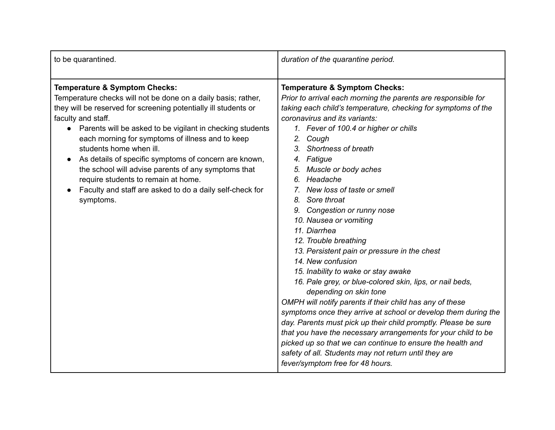| to be quarantined.                                                                                                                                                                                                                                                                                                                                                                                                                                                                                                                                                                          | duration of the quarantine period.                                                                                                                                                                                                                                                                                                                                                                                                                                                                                                                                                                                                                                                                                                                                                                                                                                                                                                                                                                                                                                                                                                          |
|---------------------------------------------------------------------------------------------------------------------------------------------------------------------------------------------------------------------------------------------------------------------------------------------------------------------------------------------------------------------------------------------------------------------------------------------------------------------------------------------------------------------------------------------------------------------------------------------|---------------------------------------------------------------------------------------------------------------------------------------------------------------------------------------------------------------------------------------------------------------------------------------------------------------------------------------------------------------------------------------------------------------------------------------------------------------------------------------------------------------------------------------------------------------------------------------------------------------------------------------------------------------------------------------------------------------------------------------------------------------------------------------------------------------------------------------------------------------------------------------------------------------------------------------------------------------------------------------------------------------------------------------------------------------------------------------------------------------------------------------------|
| <b>Temperature &amp; Symptom Checks:</b><br>Temperature checks will not be done on a daily basis; rather,<br>they will be reserved for screening potentially ill students or<br>faculty and staff.<br>Parents will be asked to be vigilant in checking students<br>$\bullet$<br>each morning for symptoms of illness and to keep<br>students home when ill.<br>As details of specific symptoms of concern are known,<br>the school will advise parents of any symptoms that<br>require students to remain at home.<br>Faculty and staff are asked to do a daily self-check for<br>symptoms. | <b>Temperature &amp; Symptom Checks:</b><br>Prior to arrival each morning the parents are responsible for<br>taking each child's temperature, checking for symptoms of the<br>coronavirus and its variants:<br>1. Fever of 100.4 or higher or chills<br>2. Cough<br>3. Shortness of breath<br>4. Fatigue<br>Muscle or body aches<br>5.<br>Headache<br>6.<br>New loss of taste or smell<br>Sore throat<br>8.<br>9. Congestion or runny nose<br>10. Nausea or vomiting<br>11. Diarrhea<br>12. Trouble breathing<br>13. Persistent pain or pressure in the chest<br>14. New confusion<br>15. Inability to wake or stay awake<br>16. Pale grey, or blue-colored skin, lips, or nail beds,<br>depending on skin tone<br>OMPH will notify parents if their child has any of these<br>symptoms once they arrive at school or develop them during the<br>day. Parents must pick up their child promptly. Please be sure<br>that you have the necessary arrangements for your child to be<br>picked up so that we can continue to ensure the health and<br>safety of all. Students may not return until they are<br>fever/symptom free for 48 hours. |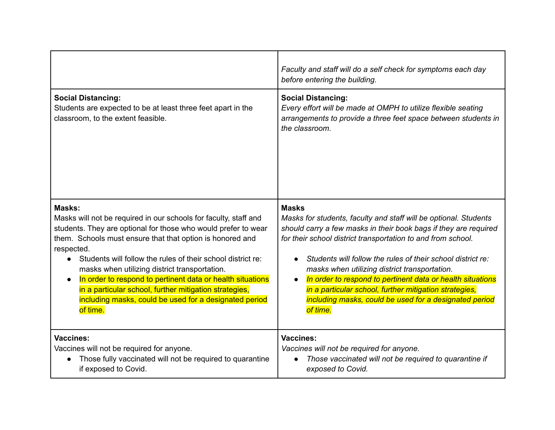|                                                                                                                                                                                                                                                                                                                                                                                                                                                                                                                                                    | Faculty and staff will do a self check for symptoms each day<br>before entering the building.                                                                                                                                                                                                                                                                                                                                                                                                                                      |
|----------------------------------------------------------------------------------------------------------------------------------------------------------------------------------------------------------------------------------------------------------------------------------------------------------------------------------------------------------------------------------------------------------------------------------------------------------------------------------------------------------------------------------------------------|------------------------------------------------------------------------------------------------------------------------------------------------------------------------------------------------------------------------------------------------------------------------------------------------------------------------------------------------------------------------------------------------------------------------------------------------------------------------------------------------------------------------------------|
| <b>Social Distancing:</b><br>Students are expected to be at least three feet apart in the<br>classroom, to the extent feasible.                                                                                                                                                                                                                                                                                                                                                                                                                    | <b>Social Distancing:</b><br>Every effort will be made at OMPH to utilize flexible seating<br>arrangements to provide a three feet space between students in<br>the classroom.                                                                                                                                                                                                                                                                                                                                                     |
| Masks:<br>Masks will not be required in our schools for faculty, staff and<br>students. They are optional for those who would prefer to wear<br>them. Schools must ensure that that option is honored and<br>respected.<br>Students will follow the rules of their school district re:<br>$\bullet$<br>masks when utilizing district transportation.<br>In order to respond to pertinent data or health situations<br>in a particular school, further mitigation strategies,<br>including masks, could be used for a designated period<br>of time. | <b>Masks</b><br>Masks for students, faculty and staff will be optional. Students<br>should carry a few masks in their book bags if they are required<br>for their school district transportation to and from school.<br>Students will follow the rules of their school district re:<br>masks when utilizing district transportation.<br>In order to respond to pertinent data or health situations<br>in a particular school, further mitigation strategies,<br>including masks, could be used for a designated period<br>of time. |
| <b>Vaccines:</b><br>Vaccines will not be required for anyone.<br>Those fully vaccinated will not be required to quarantine<br>if exposed to Covid.                                                                                                                                                                                                                                                                                                                                                                                                 | <b>Vaccines:</b><br>Vaccines will not be required for anyone.<br>Those vaccinated will not be required to quarantine if<br>$\bullet$<br>exposed to Covid.                                                                                                                                                                                                                                                                                                                                                                          |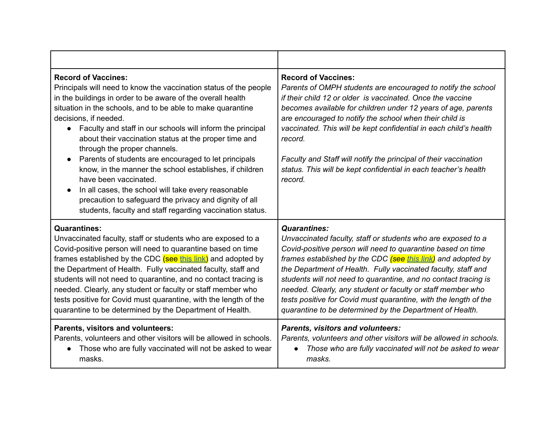| <b>Record of Vaccines:</b><br>Principals will need to know the vaccination status of the people<br>in the buildings in order to be aware of the overall health<br>situation in the schools, and to be able to make quarantine<br>decisions, if needed.<br>Faculty and staff in our schools will inform the principal<br>$\bullet$<br>about their vaccination status at the proper time and<br>through the proper channels.<br>Parents of students are encouraged to let principals<br>know, in the manner the school establishes, if children<br>have been vaccinated.<br>In all cases, the school will take every reasonable<br>precaution to safeguard the privacy and dignity of all<br>students, faculty and staff regarding vaccination status. | <b>Record of Vaccines:</b><br>Parents of OMPH students are encouraged to notify the school<br>if their child 12 or older is vaccinated. Once the vaccine<br>becomes available for children under 12 years of age, parents<br>are encouraged to notify the school when their child is<br>vaccinated. This will be kept confidential in each child's health<br>record.<br>Faculty and Staff will notify the principal of their vaccination<br>status. This will be kept confidential in each teacher's health<br>record. |
|------------------------------------------------------------------------------------------------------------------------------------------------------------------------------------------------------------------------------------------------------------------------------------------------------------------------------------------------------------------------------------------------------------------------------------------------------------------------------------------------------------------------------------------------------------------------------------------------------------------------------------------------------------------------------------------------------------------------------------------------------|------------------------------------------------------------------------------------------------------------------------------------------------------------------------------------------------------------------------------------------------------------------------------------------------------------------------------------------------------------------------------------------------------------------------------------------------------------------------------------------------------------------------|
| <b>Quarantines:</b>                                                                                                                                                                                                                                                                                                                                                                                                                                                                                                                                                                                                                                                                                                                                  | <b>Quarantines:</b>                                                                                                                                                                                                                                                                                                                                                                                                                                                                                                    |
| Unvaccinated faculty, staff or students who are exposed to a                                                                                                                                                                                                                                                                                                                                                                                                                                                                                                                                                                                                                                                                                         | Unvaccinated faculty, staff or students who are exposed to a                                                                                                                                                                                                                                                                                                                                                                                                                                                           |
| Covid-positive person will need to quarantine based on time                                                                                                                                                                                                                                                                                                                                                                                                                                                                                                                                                                                                                                                                                          | Covid-positive person will need to quarantine based on time                                                                                                                                                                                                                                                                                                                                                                                                                                                            |
| frames established by the CDC (see this link) and adopted by                                                                                                                                                                                                                                                                                                                                                                                                                                                                                                                                                                                                                                                                                         | frames established by the CDC (see this link) and adopted by                                                                                                                                                                                                                                                                                                                                                                                                                                                           |
| the Department of Health. Fully vaccinated faculty, staff and                                                                                                                                                                                                                                                                                                                                                                                                                                                                                                                                                                                                                                                                                        | the Department of Health. Fully vaccinated faculty, staff and                                                                                                                                                                                                                                                                                                                                                                                                                                                          |
| students will not need to quarantine, and no contact tracing is                                                                                                                                                                                                                                                                                                                                                                                                                                                                                                                                                                                                                                                                                      | students will not need to quarantine, and no contact tracing is                                                                                                                                                                                                                                                                                                                                                                                                                                                        |
| needed. Clearly, any student or faculty or staff member who                                                                                                                                                                                                                                                                                                                                                                                                                                                                                                                                                                                                                                                                                          | needed. Clearly, any student or faculty or staff member who                                                                                                                                                                                                                                                                                                                                                                                                                                                            |
| tests positive for Covid must quarantine, with the length of the                                                                                                                                                                                                                                                                                                                                                                                                                                                                                                                                                                                                                                                                                     | tests positive for Covid must quarantine, with the length of the                                                                                                                                                                                                                                                                                                                                                                                                                                                       |
| quarantine to be determined by the Department of Health.                                                                                                                                                                                                                                                                                                                                                                                                                                                                                                                                                                                                                                                                                             | quarantine to be determined by the Department of Health.                                                                                                                                                                                                                                                                                                                                                                                                                                                               |
| Parents, visitors and volunteers:                                                                                                                                                                                                                                                                                                                                                                                                                                                                                                                                                                                                                                                                                                                    | <b>Parents, visitors and volunteers:</b>                                                                                                                                                                                                                                                                                                                                                                                                                                                                               |
| Parents, volunteers and other visitors will be allowed in schools.                                                                                                                                                                                                                                                                                                                                                                                                                                                                                                                                                                                                                                                                                   | Parents, volunteers and other visitors will be allowed in schools.                                                                                                                                                                                                                                                                                                                                                                                                                                                     |
| Those who are fully vaccinated will not be asked to wear                                                                                                                                                                                                                                                                                                                                                                                                                                                                                                                                                                                                                                                                                             | Those who are fully vaccinated will not be asked to wear                                                                                                                                                                                                                                                                                                                                                                                                                                                               |
| masks.                                                                                                                                                                                                                                                                                                                                                                                                                                                                                                                                                                                                                                                                                                                                               | masks.                                                                                                                                                                                                                                                                                                                                                                                                                                                                                                                 |

┯

 $\blacksquare$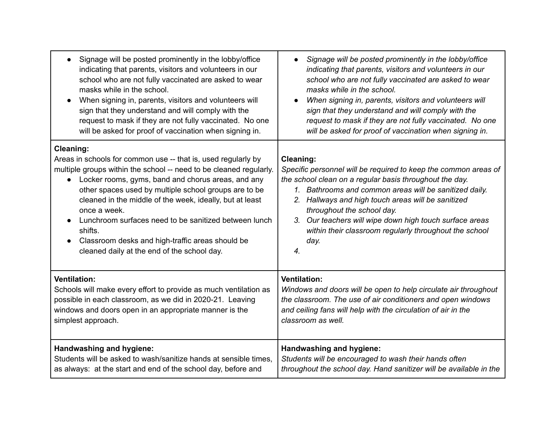| Signage will be posted prominently in the lobby/office                                                                                                                                                                                                                                                                                                                                                                                                                                                                                              | Signage will be posted prominently in the lobby/office                                                                                                                                                                                                                                                                                                                                                                                          |
|-----------------------------------------------------------------------------------------------------------------------------------------------------------------------------------------------------------------------------------------------------------------------------------------------------------------------------------------------------------------------------------------------------------------------------------------------------------------------------------------------------------------------------------------------------|-------------------------------------------------------------------------------------------------------------------------------------------------------------------------------------------------------------------------------------------------------------------------------------------------------------------------------------------------------------------------------------------------------------------------------------------------|
| $\bullet$                                                                                                                                                                                                                                                                                                                                                                                                                                                                                                                                           | $\bullet$                                                                                                                                                                                                                                                                                                                                                                                                                                       |
| indicating that parents, visitors and volunteers in our                                                                                                                                                                                                                                                                                                                                                                                                                                                                                             | indicating that parents, visitors and volunteers in our                                                                                                                                                                                                                                                                                                                                                                                         |
| school who are not fully vaccinated are asked to wear                                                                                                                                                                                                                                                                                                                                                                                                                                                                                               | school who are not fully vaccinated are asked to wear                                                                                                                                                                                                                                                                                                                                                                                           |
| masks while in the school.                                                                                                                                                                                                                                                                                                                                                                                                                                                                                                                          | masks while in the school.                                                                                                                                                                                                                                                                                                                                                                                                                      |
| When signing in, parents, visitors and volunteers will                                                                                                                                                                                                                                                                                                                                                                                                                                                                                              | When signing in, parents, visitors and volunteers will                                                                                                                                                                                                                                                                                                                                                                                          |
| sign that they understand and will comply with the                                                                                                                                                                                                                                                                                                                                                                                                                                                                                                  | sign that they understand and will comply with the                                                                                                                                                                                                                                                                                                                                                                                              |
| request to mask if they are not fully vaccinated. No one                                                                                                                                                                                                                                                                                                                                                                                                                                                                                            | request to mask if they are not fully vaccinated. No one                                                                                                                                                                                                                                                                                                                                                                                        |
| will be asked for proof of vaccination when signing in.                                                                                                                                                                                                                                                                                                                                                                                                                                                                                             | will be asked for proof of vaccination when signing in.                                                                                                                                                                                                                                                                                                                                                                                         |
| <b>Cleaning:</b><br>Areas in schools for common use -- that is, used regularly by<br>multiple groups within the school -- need to be cleaned regularly.<br>Locker rooms, gyms, band and chorus areas, and any<br>$\bullet$<br>other spaces used by multiple school groups are to be<br>cleaned in the middle of the week, ideally, but at least<br>once a week.<br>Lunchroom surfaces need to be sanitized between lunch<br>shifts.<br>Classroom desks and high-traffic areas should be<br>$\bullet$<br>cleaned daily at the end of the school day. | <b>Cleaning:</b><br>Specific personnel will be required to keep the common areas of<br>the school clean on a regular basis throughout the day.<br>1. Bathrooms and common areas will be sanitized daily.<br>2. Hallways and high touch areas will be sanitized<br>throughout the school day.<br>3. Our teachers will wipe down high touch surface areas<br>within their classroom regularly throughout the school<br>day.<br>$\boldsymbol{4}$ . |
| <b>Ventilation:</b>                                                                                                                                                                                                                                                                                                                                                                                                                                                                                                                                 | <b>Ventilation:</b>                                                                                                                                                                                                                                                                                                                                                                                                                             |
| Schools will make every effort to provide as much ventilation as                                                                                                                                                                                                                                                                                                                                                                                                                                                                                    | Windows and doors will be open to help circulate air throughout                                                                                                                                                                                                                                                                                                                                                                                 |
| possible in each classroom, as we did in 2020-21. Leaving                                                                                                                                                                                                                                                                                                                                                                                                                                                                                           | the classroom. The use of air conditioners and open windows                                                                                                                                                                                                                                                                                                                                                                                     |
| windows and doors open in an appropriate manner is the                                                                                                                                                                                                                                                                                                                                                                                                                                                                                              | and ceiling fans will help with the circulation of air in the                                                                                                                                                                                                                                                                                                                                                                                   |
| simplest approach.                                                                                                                                                                                                                                                                                                                                                                                                                                                                                                                                  | classroom as well.                                                                                                                                                                                                                                                                                                                                                                                                                              |
| Handwashing and hygiene:                                                                                                                                                                                                                                                                                                                                                                                                                                                                                                                            | Handwashing and hygiene:                                                                                                                                                                                                                                                                                                                                                                                                                        |
| Students will be asked to wash/sanitize hands at sensible times,                                                                                                                                                                                                                                                                                                                                                                                                                                                                                    | Students will be encouraged to wash their hands often                                                                                                                                                                                                                                                                                                                                                                                           |
| as always: at the start and end of the school day, before and                                                                                                                                                                                                                                                                                                                                                                                                                                                                                       | throughout the school day. Hand sanitizer will be available in the                                                                                                                                                                                                                                                                                                                                                                              |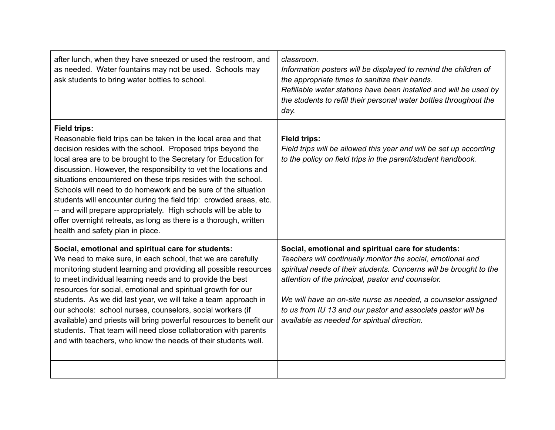| after lunch, when they have sneezed or used the restroom, and<br>as needed. Water fountains may not be used. Schools may<br>ask students to bring water bottles to school.                                                                                                                                                                                                                                                                                                                                                                                                                                                                                                       | classroom.<br>Information posters will be displayed to remind the children of<br>the appropriate times to sanitize their hands.<br>Refillable water stations have been installed and will be used by<br>the students to refill their personal water bottles throughout the<br>day.                                                                                                                                            |
|----------------------------------------------------------------------------------------------------------------------------------------------------------------------------------------------------------------------------------------------------------------------------------------------------------------------------------------------------------------------------------------------------------------------------------------------------------------------------------------------------------------------------------------------------------------------------------------------------------------------------------------------------------------------------------|-------------------------------------------------------------------------------------------------------------------------------------------------------------------------------------------------------------------------------------------------------------------------------------------------------------------------------------------------------------------------------------------------------------------------------|
| <b>Field trips:</b><br>Reasonable field trips can be taken in the local area and that<br>decision resides with the school. Proposed trips beyond the<br>local area are to be brought to the Secretary for Education for<br>discussion. However, the responsibility to vet the locations and<br>situations encountered on these trips resides with the school.<br>Schools will need to do homework and be sure of the situation<br>students will encounter during the field trip: crowded areas, etc.<br>-- and will prepare appropriately. High schools will be able to<br>offer overnight retreats, as long as there is a thorough, written<br>health and safety plan in place. | <b>Field trips:</b><br>Field trips will be allowed this year and will be set up according<br>to the policy on field trips in the parent/student handbook.                                                                                                                                                                                                                                                                     |
| Social, emotional and spiritual care for students:<br>We need to make sure, in each school, that we are carefully<br>monitoring student learning and providing all possible resources<br>to meet individual learning needs and to provide the best<br>resources for social, emotional and spiritual growth for our<br>students. As we did last year, we will take a team approach in<br>our schools: school nurses, counselors, social workers (if<br>available) and priests will bring powerful resources to benefit our<br>students. That team will need close collaboration with parents<br>and with teachers, who know the needs of their students well.                     | Social, emotional and spiritual care for students:<br>Teachers will continually monitor the social, emotional and<br>spiritual needs of their students. Concerns will be brought to the<br>attention of the principal, pastor and counselor.<br>We will have an on-site nurse as needed, a counselor assigned<br>to us from IU 13 and our pastor and associate pastor will be<br>available as needed for spiritual direction. |
|                                                                                                                                                                                                                                                                                                                                                                                                                                                                                                                                                                                                                                                                                  |                                                                                                                                                                                                                                                                                                                                                                                                                               |